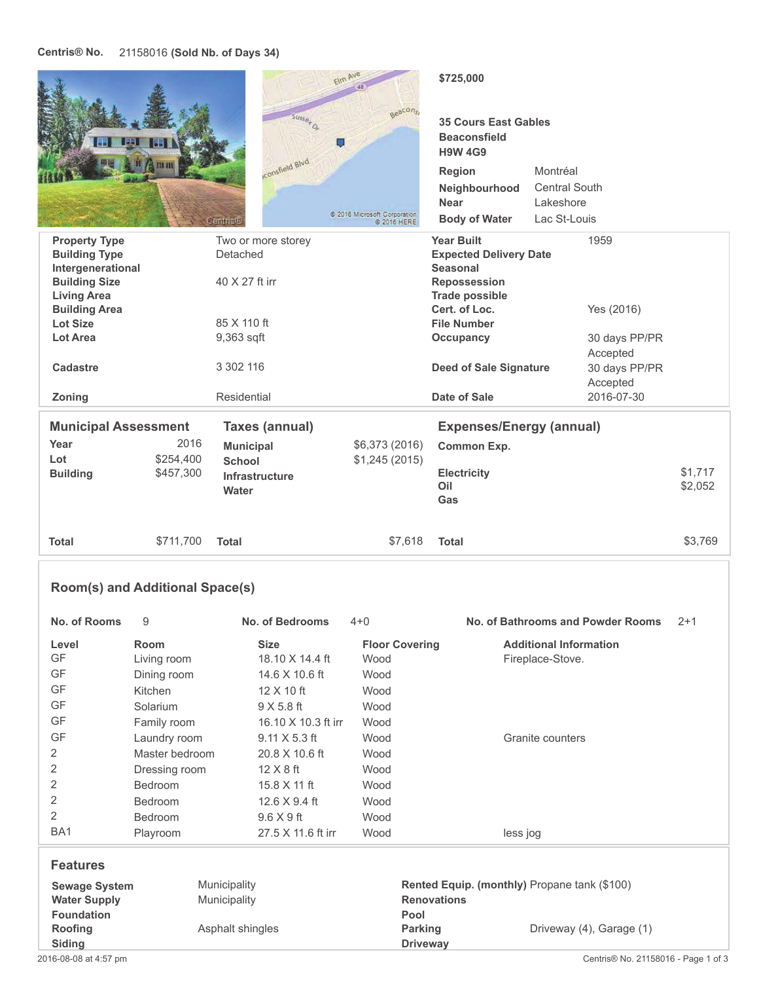## **Centris® No.** 21158016 **(Sold Nb. of Days 34)**

|                                                                                                                 | Susse+Or<br>sconsfield Blvd<br><b>Centricial</b> | Elm Ave<br>geacons<br>@ 2016 Microsoft Corporation<br>@ 2016 HERE | \$725,000<br><b>35 Cours East Gables</b><br><b>Beaconsfield</b><br><b>H9W 4G9</b><br><b>Region</b><br>Neighbourhood<br><b>Near</b><br><b>Body of Water</b> | Montréal<br><b>Central South</b><br>Lakeshore<br>Lac St-Louis |                    |
|-----------------------------------------------------------------------------------------------------------------|--------------------------------------------------|-------------------------------------------------------------------|------------------------------------------------------------------------------------------------------------------------------------------------------------|---------------------------------------------------------------|--------------------|
| <b>Property Type</b><br><b>Building Type</b><br>Intergenerational<br><b>Building Size</b><br><b>Living Area</b> | Two or more storey<br>Detached<br>40 X 27 ft irr |                                                                   | <b>Year Built</b><br><b>Expected Delivery Date</b><br>Seasonal<br><b>Repossession</b><br><b>Trade possible</b><br>Cert. of Loc.                            | 1959                                                          |                    |
| <b>Building Area</b><br>Lot Size<br><b>Lot Area</b>                                                             | 85 X 110 ft<br>9,363 sqft                        |                                                                   | <b>File Number</b><br><b>Occupancy</b>                                                                                                                     | Yes (2016)<br>30 days PP/PR<br>Accepted                       |                    |
| Cadastre<br>Zoning                                                                                              | 3 302 116<br>Residential                         |                                                                   | <b>Deed of Sale Signature</b><br>Date of Sale                                                                                                              | 30 days PP/PR<br>Accepted<br>2016-07-30                       |                    |
| <b>Municipal Assessment</b><br><b>Taxes (annual)</b><br>2016<br>Year<br><b>Municipal</b>                        |                                                  | \$6,373 (2016)                                                    | <b>Expenses/Energy (annual)</b><br><b>Common Exp.</b>                                                                                                      |                                                               |                    |
| \$254,400<br>Lot<br>\$457,300<br><b>Building</b>                                                                | <b>School</b><br>Infrastructure<br>Water         | \$1,245 (2015)                                                    | <b>Electricity</b><br>Oil<br>Gas                                                                                                                           |                                                               | \$1,717<br>\$2,052 |
| \$711,700<br><b>Total</b>                                                                                       | <b>Total</b>                                     | \$7,618                                                           | <b>Total</b>                                                                                                                                               |                                                               | \$3,769            |

# **Room(s) and Additional Space(s)**

| No. of Rooms                                             | 9                | <b>No. of Bedrooms</b> | $4 + 0$               | No. of Bathrooms and Powder Rooms                                  | $2+1$ |
|----------------------------------------------------------|------------------|------------------------|-----------------------|--------------------------------------------------------------------|-------|
| Level                                                    | Room             | <b>Size</b>            | <b>Floor Covering</b> | <b>Additional Information</b>                                      |       |
| GF                                                       | Living room      | 18.10 X 14.4 ft        | Wood                  | Fireplace-Stove.                                                   |       |
| GF                                                       | Dining room      | 14.6 X 10.6 ft         | Wood                  |                                                                    |       |
| GF                                                       | Kitchen          | $12 \times 10$ ft      | Wood                  |                                                                    |       |
| GF                                                       | Solarium         | $9 \times 5.8$ ft      | Wood                  |                                                                    |       |
| GF                                                       | Family room      | 16.10 X 10.3 ft irr    | Wood                  |                                                                    |       |
| GF                                                       | Laundry room     | $9.11 \times 5.3$ ft   | Wood                  | Granite counters                                                   |       |
| 2                                                        | Master bedroom   | 20.8 X 10.6 ft         | Wood                  |                                                                    |       |
| 2                                                        | Dressing room    | $12 \times 8$ ft       | Wood                  |                                                                    |       |
| 2                                                        | <b>Bedroom</b>   | 15.8 X 11 ft           | Wood                  |                                                                    |       |
| 2                                                        | <b>Bedroom</b>   | 12.6 X 9.4 ft          | Wood                  |                                                                    |       |
| 2                                                        | <b>Bedroom</b>   | $9.6 \times 9$ ft      | Wood                  |                                                                    |       |
| BA <sub>1</sub>                                          | Playroom         | 27.5 X 11.6 ft irr     | Wood                  | less jog                                                           |       |
| <b>Features</b>                                          |                  |                        |                       |                                                                    |       |
|                                                          |                  |                        |                       |                                                                    |       |
| Municipality<br><b>Sewage System</b>                     |                  |                        |                       | Rented Equip. (monthly) Propane tank (\$100)<br><b>Renovations</b> |       |
| Municipality<br><b>Water Supply</b><br><b>Foundation</b> |                  |                        | Pool                  |                                                                    |       |
| Roofing                                                  | Asphalt shingles |                        |                       | Driveway (4), Garage (1)<br><b>Parking</b>                         |       |
| <b>Siding</b>                                            |                  |                        |                       | <b>Driveway</b>                                                    |       |